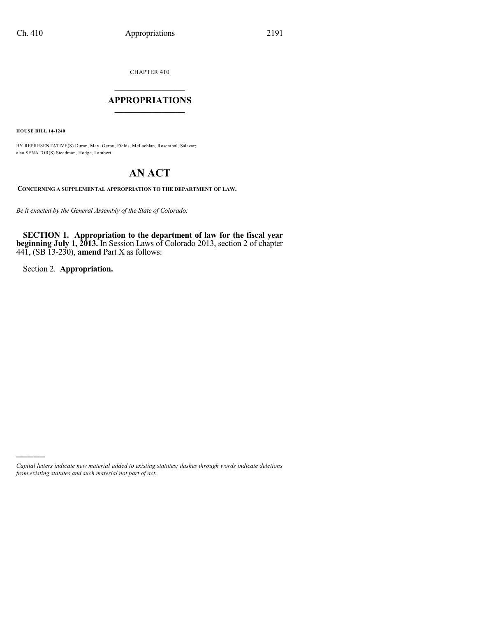CHAPTER 410

## $\mathcal{L}_\text{max}$  . The set of the set of the set of the set of the set of the set of the set of the set of the set of the set of the set of the set of the set of the set of the set of the set of the set of the set of the set **APPROPRIATIONS**  $\_$   $\_$   $\_$   $\_$   $\_$   $\_$   $\_$   $\_$

**HOUSE BILL 14-1240**

BY REPRESENTATIVE(S) Duran, May, Gerou, Fields, McLachlan, Rosenthal, Salazar; also SENATOR(S) Steadman, Hodge, Lambert.

# **AN ACT**

**CONCERNING A SUPPLEMENTAL APPROPRIATION TO THE DEPARTMENT OF LAW.**

*Be it enacted by the General Assembly of the State of Colorado:*

**SECTION 1. Appropriation to the department of law for the fiscal year beginning July 1, 2013.** In Session Laws of Colorado 2013, section 2 of chapter 441, (SB 13-230), **amend** Part X as follows:

Section 2. **Appropriation.**

)))))

*Capital letters indicate new material added to existing statutes; dashes through words indicate deletions from existing statutes and such material not part of act.*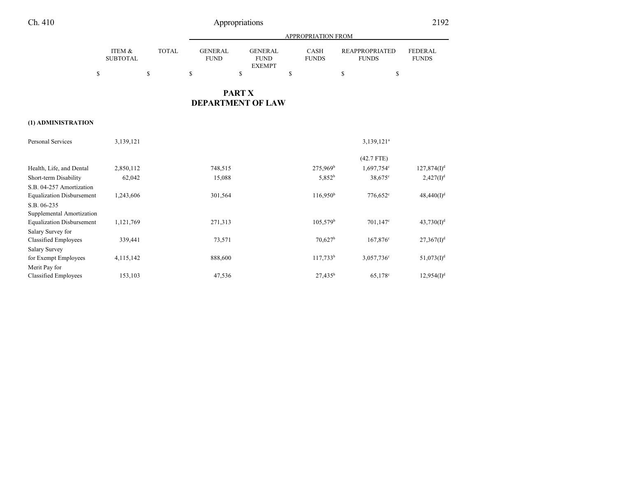## Ch. 410 Appropriations 2192

|                           |       |                                                                 | <b>APPROPRIATION FROM</b>   |                                       |                                |  |
|---------------------------|-------|-----------------------------------------------------------------|-----------------------------|---------------------------------------|--------------------------------|--|
| ITEM &<br><b>SUBTOTAL</b> | TOTAL | <b>GENERAL</b><br><b>GENER AL</b><br><b>FUND</b><br><b>FUND</b> | <b>CASH</b><br><b>FUNDS</b> | <b>REAPPROPRIATED</b><br><b>FUNDS</b> | <b>FEDERAL</b><br><b>FUNDS</b> |  |
|                           |       | <b>EXEMPT</b>                                                   |                             |                                       |                                |  |
|                           |       |                                                                 |                             |                                       |                                |  |

## **PART X DEPARTMENT OF LAW**

### **(1) ADMINISTRATION**

| Personal Services                | 3,139,121 |         |                       | $3,139,121^a$          |                           |
|----------------------------------|-----------|---------|-----------------------|------------------------|---------------------------|
|                                  |           |         |                       | $(42.7$ FTE)           |                           |
| Health, Life, and Dental         | 2,850,112 | 748,515 | $275,969^{\rm b}$     | 1,697,754°             | $127,874(I)^d$            |
| Short-term Disability            | 62,042    | 15,088  | $5,852^b$             | 38,675 <sup>c</sup>    | $2,427(I)^{d}$            |
| S.B. 04-257 Amortization         |           |         |                       |                        |                           |
| <b>Equalization Disbursement</b> | 1,243,606 | 301,564 | 116,950 <sup>b</sup>  | 776,652 <sup>c</sup>   | $48,440(I)^{d}$           |
| S.B. 06-235                      |           |         |                       |                        |                           |
| Supplemental Amortization        |           |         |                       |                        |                           |
| <b>Equalization Disbursement</b> | 1,121,769 | 271,313 | $105,579^{\rm b}$     | $701,147^{\circ}$      | 43,730(D <sup>d</sup> )   |
| Salary Survey for                |           |         |                       |                        |                           |
| <b>Classified Employees</b>      | 339,441   | 73,571  | $70,627$ <sup>b</sup> | $167,876^{\circ}$      | $27,367(1)^d$             |
| <b>Salary Survey</b>             |           |         |                       |                        |                           |
| for Exempt Employees             | 4,115,142 | 888,600 | $117,733^b$           | 3,057,736 <sup>c</sup> | 51,073(D <sup>d</sup> )   |
| Merit Pay for                    |           |         |                       |                        |                           |
| <b>Classified Employees</b>      | 153,103   | 47,536  | $27,435^b$            | 65,178 <sup>c</sup>    | $12,954$ (I) <sup>d</sup> |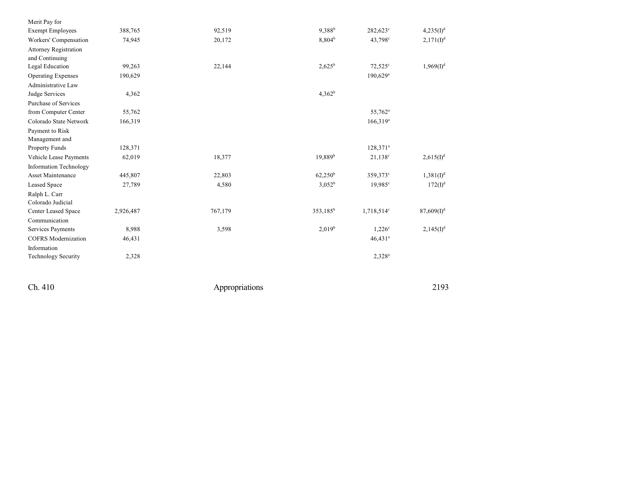| Merit Pay for                 |           |         |                      |                        |                       |
|-------------------------------|-----------|---------|----------------------|------------------------|-----------------------|
| <b>Exempt Employees</b>       | 388,765   | 92,519  | $9,388^{b}$          | $282,623^{\circ}$      | 4,235(I) <sup>d</sup> |
| Workers' Compensation         | 74,945    | 20,172  | 8,804 <sup>b</sup>   | 43,798 <sup>c</sup>    | $2,171(I)^{d}$        |
| <b>Attorney Registration</b>  |           |         |                      |                        |                       |
| and Continuing                |           |         |                      |                        |                       |
| Legal Education               | 99,263    | 22,144  | $2,625^b$            | $72,525^{\circ}$       | $1,969(I)^{d}$        |
| <b>Operating Expenses</b>     | 190,629   |         |                      | $190,629$ <sup>a</sup> |                       |
| Administrative Law            |           |         |                      |                        |                       |
| Judge Services                | 4,362     |         | $4,362^b$            |                        |                       |
| Purchase of Services          |           |         |                      |                        |                       |
| from Computer Center          | 55,762    |         |                      | 55,762 <sup>a</sup>    |                       |
| Colorado State Network        | 166,319   |         |                      | $166,319^a$            |                       |
| Payment to Risk               |           |         |                      |                        |                       |
| Management and                |           |         |                      |                        |                       |
| Property Funds                | 128,371   |         |                      | 128,371 <sup>a</sup>   |                       |
| Vehicle Lease Payments        | 62,019    | 18,377  | $19,889^{b}$         | $21,138^c$             | $2,615(I)^d$          |
| <b>Information Technology</b> |           |         |                      |                        |                       |
| Asset Maintenance             | 445,807   | 22,803  | $62,250^{\rm b}$     | 359,373°               | $1,381(I)^d$          |
| Leased Space                  | 27,789    | 4,580   | $3,052^b$            | $19,985^{\circ}$       | $172(I)^{d}$          |
| Ralph L. Carr                 |           |         |                      |                        |                       |
| Colorado Judicial             |           |         |                      |                        |                       |
| Center Leased Space           | 2,926,487 | 767,179 | 353,185 <sup>b</sup> | $1,718,514^c$          | $87,609(1)^d$         |
| Communication                 |           |         |                      |                        |                       |
| Services Payments             | 8,988     | 3,598   | 2.019 <sup>b</sup>   | $1,226^\circ$          | $2,145(I)^{d}$        |
| <b>COFRS</b> Modernization    | 46,431    |         |                      | $46,431$ <sup>a</sup>  |                       |
| Information                   |           |         |                      |                        |                       |
| <b>Technology Security</b>    | 2,328     |         |                      | $2,328^a$              |                       |
|                               |           |         |                      |                        |                       |

Ch. 410

Appropriations

2 1 9 3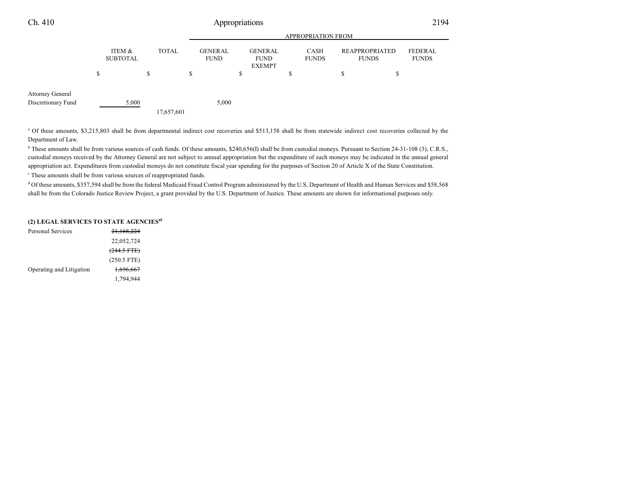| Ch. 410                                       | Appropriations |                           |   |              |                    |                               |   |                                                |   | 2194                 |    |                                       |                                |
|-----------------------------------------------|----------------|---------------------------|---|--------------|--------------------|-------------------------------|---|------------------------------------------------|---|----------------------|----|---------------------------------------|--------------------------------|
|                                               |                |                           |   |              | APPROPRIATION FROM |                               |   |                                                |   |                      |    |                                       |                                |
|                                               |                | ITEM &<br><b>SUBTOTAL</b> |   | <b>TOTAL</b> |                    | <b>GENERAL</b><br><b>FUND</b> |   | <b>GENERAL</b><br><b>FUND</b><br><b>EXEMPT</b> |   | CASH<br><b>FUNDS</b> |    | <b>REAPPROPRIATED</b><br><b>FUNDS</b> | <b>FEDERAL</b><br><b>FUNDS</b> |
|                                               | S              |                           | S |              | J.                 |                               | ъ |                                                | S |                      | \$ | \$                                    |                                |
| <b>Attorney General</b><br>Discretionary Fund |                | 5,000                     |   |              |                    | 5,000                         |   |                                                |   |                      |    |                                       |                                |
|                                               |                |                           |   | 17,657,601   |                    |                               |   |                                                |   |                      |    |                                       |                                |

<sup>a</sup> Of these amounts, \$3,215,803 shall be from departmental indirect cost recoveries and \$513,158 shall be from statewide indirect cost recoveries collected by the Department of Law.

<sup>b</sup> These amounts shall be from various sources of cash funds. Of these amounts, \$240,656(I) shall be from custodial moneys. Pursuant to Section 24-31-108 (3), C.R.S., custodial moneys received by the Attorney General are not subject to annual appropriation but the expenditure of such moneys may be indicated in the annual general appropriation act. Expenditures from custodial moneys do not constitute fiscal year spending for the purposes of Section 20 of Article X of the State Constitution.

<sup>c</sup> These amounts shall be from various sources of reappropriated funds.

<sup>d</sup> Of these amounts, \$357,594 shall be from the federal Medicaid Fraud Control Program administered by the U.S. Department of Health and Human Services and \$58,568 shall be from the Colorado Justice Review Project, a grant provided by the U.S. Department of Justice. These amounts are shown for informational purposes only.

#### **(2) LEGAL SERVICES TO STATE AGENCIES 45**

| Personal Services        | 21,168,224    |
|--------------------------|---------------|
|                          | 22,052,724    |
|                          | $(244.5$ FTE) |
|                          | $(250.5$ FTE) |
| Operating and Litigation | 1,696,667     |
|                          | 1,794,944     |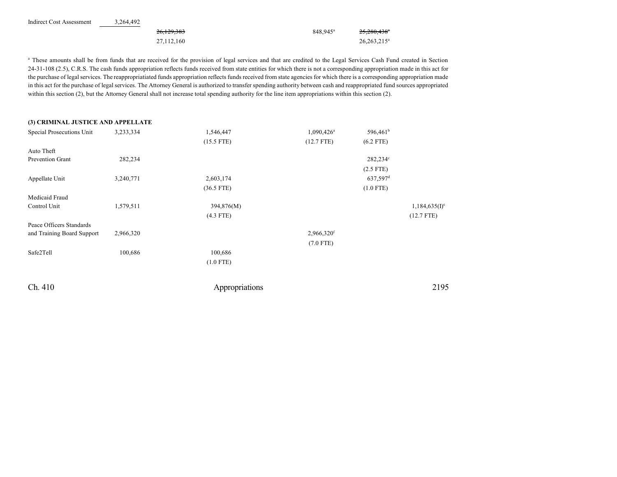| Indirect Cost Assessment | 3.264.492 |              |                      |                         |
|--------------------------|-----------|--------------|----------------------|-------------------------|
|                          |           | 26,129,383   | 848.945 <sup>a</sup> | 25,280,438 <sup>*</sup> |
|                          |           | 27, 112, 160 |                      | $26,263,215^a$          |

<sup>a</sup> These amounts shall be from funds that are received for the provision of legal services and that are credited to the Legal Services Cash Fund created in Section 24-31-108 (2.5), C.R.S. The cash funds appropriation reflects funds received from state entities for which there is not a corresponding appropriation made in this act for the purchase of legalservices. The reappropriatiated funds appropriation reflects funds received from state agencies for which there is a corresponding appropriation made in this act for the purchase of legal services. The Attorney General is authorized to transfer spending authority between cash and reappropriated fund sources appropriated within this section (2), but the Attorney General shall not increase total spending authority for the line item appropriations within this section (2).

| (3) CRIMINAL JUSTICE AND APPELLATE |           |                |                          |                      |                           |
|------------------------------------|-----------|----------------|--------------------------|----------------------|---------------------------|
| Special Prosecutions Unit          | 3,233,334 | 1,546,447      | $1,090,426$ <sup>a</sup> | 596,461 <sup>b</sup> |                           |
|                                    |           | $(15.5$ FTE)   | $(12.7$ FTE)             | $(6.2$ FTE)          |                           |
| Auto Theft                         |           |                |                          |                      |                           |
| Prevention Grant                   | 282,234   |                |                          | 282,234°             |                           |
|                                    |           |                |                          | $(2.5$ FTE)          |                           |
| Appellate Unit                     | 3,240,771 | 2,603,174      |                          | 637,597 <sup>d</sup> |                           |
|                                    |           | $(36.5$ FTE)   |                          | $(1.0$ FTE)          |                           |
| Medicaid Fraud                     |           |                |                          |                      |                           |
| Control Unit                       | 1,579,511 | 394,876(M)     |                          |                      | 1,184,635(I) <sup>e</sup> |
|                                    |           | $(4.3$ FTE)    |                          |                      | $(12.7$ FTE)              |
| Peace Officers Standards           |           |                |                          |                      |                           |
| and Training Board Support         | 2,966,320 |                | 2,966,320f               |                      |                           |
|                                    |           |                | $(7.0$ FTE)              |                      |                           |
| Safe2Tell                          | 100,686   | 100,686        |                          |                      |                           |
|                                    |           | $(1.0$ FTE)    |                          |                      |                           |
| Ch. 410                            |           | Appropriations |                          |                      | 2195                      |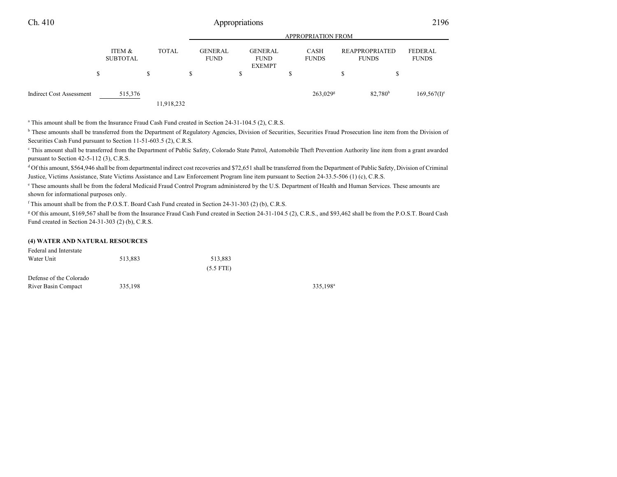|                          |                                 |              | <b>APPROPRIATION FROM</b>     |                                                |                             |                                       |                           |  |  |  |
|--------------------------|---------------------------------|--------------|-------------------------------|------------------------------------------------|-----------------------------|---------------------------------------|---------------------------|--|--|--|
|                          | ITEM &<br><b>SUBTOTAL</b><br>\$ | <b>TOTAL</b> | <b>GENERAL</b><br><b>FUND</b> | <b>GENERAL</b><br><b>FUND</b><br><b>EXEMPT</b> | <b>CASH</b><br><b>FUNDS</b> | <b>REAPPROPRIATED</b><br><b>FUNDS</b> | FEDERAL<br><b>FUNDS</b>   |  |  |  |
| Indirect Cost Assessment | 515,376                         | 11,918,232   |                               |                                                | 263,029 <sup>g</sup>        | 82,780 <sup>b</sup>                   | $169,567(1)$ <sup>e</sup> |  |  |  |

a This amount shall be from the Insurance Fraud Cash Fund created in Section 24-31-104.5 (2), C.R.S.

<sup>b</sup> These amounts shall be transferred from the Department of Regulatory Agencies, Division of Securities, Securities Fraud Prosecution line item from the Division of Securities Cash Fund pursuant to Section 11-51-603.5 (2), C.R.S.

<sup>c</sup> This amount shall be transferred from the Department of Public Safety, Colorado State Patrol, Automobile Theft Prevention Authority line item from a grant awarded pursuant to Section 42-5-112 (3), C.R.S.

<sup>d</sup> Of this amount, \$564,946 shall be from departmental indirect cost recoveries and \$72,651 shall be transferred from the Department of Public Safety, Division of Criminal Justice, Victims Assistance, State Victims Assistance and Law Enforcement Program line item pursuant to Section 24-33.5-506 (1) (c), C.R.S.

e These amounts shall be from the federal Medicaid Fraud Control Program administered by the U.S. Department of Health and Human Services. These amounts are shown for informational purposes only.

f This amount shall be from the P.O.S.T. Board Cash Fund created in Section 24-31-303 (2) (b), C.R.S.

<sup>g</sup> Of this amount, \$169,567 shall be from the Insurance Fraud Cash Fund created in Section 24-31-104.5 (2), C.R.S., and \$93,462 shall be from the P.O.S.T. Board Cash Fund created in Section 24-31-303 (2) (b), C.R.S.

#### **(4) WATER AND NATURAL RESOURCES**

| Federal and Interstate  |         |             |         |
|-------------------------|---------|-------------|---------|
| Water Unit              | 513.883 | 513.883     |         |
|                         |         | $(5.5$ FTE) |         |
| Defense of the Colorado |         |             |         |
| River Basin Compact     | 335,198 |             | 335,198 |

335,198<sup>a</sup>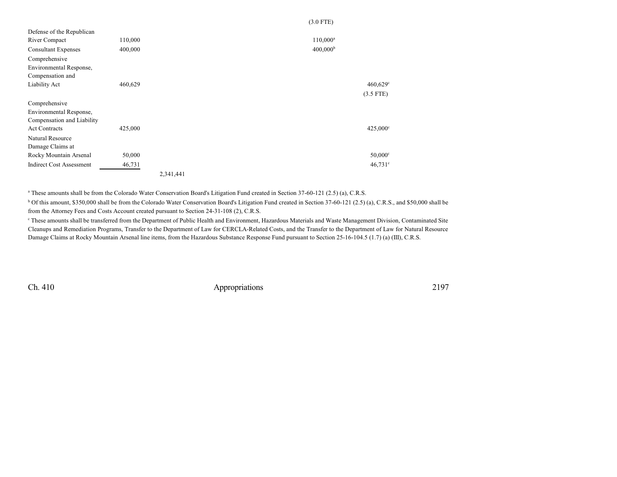|                                 |         |           |  | $(3.0$ FTE)          |                       |
|---------------------------------|---------|-----------|--|----------------------|-----------------------|
| Defense of the Republican       |         |           |  |                      |                       |
| River Compact                   | 110,000 |           |  | $110,000^a$          |                       |
| <b>Consultant Expenses</b>      | 400,000 |           |  | 400,000 <sup>b</sup> |                       |
| Comprehensive                   |         |           |  |                      |                       |
| Environmental Response,         |         |           |  |                      |                       |
| Compensation and                |         |           |  |                      |                       |
| Liability Act                   | 460,629 |           |  |                      | $460,629^{\circ}$     |
|                                 |         |           |  |                      | $(3.5$ FTE)           |
| Comprehensive                   |         |           |  |                      |                       |
| Environmental Response,         |         |           |  |                      |                       |
| Compensation and Liability      |         |           |  |                      |                       |
| <b>Act Contracts</b>            | 425,000 |           |  |                      | $425,000^{\circ}$     |
| Natural Resource                |         |           |  |                      |                       |
| Damage Claims at                |         |           |  |                      |                       |
| Rocky Mountain Arsenal          | 50,000  |           |  |                      | $50,000$ <sup>c</sup> |
| <b>Indirect Cost Assessment</b> | 46,731  |           |  |                      | $46,731^{\circ}$      |
|                                 |         | 2,341,441 |  |                      |                       |

a These amounts shall be from the Colorado Water Conservation Board's Litigation Fund created in Section 37-60-121 (2.5) (a), C.R.S.

<sup>b</sup> Of this amount, \$350,000 shall be from the Colorado Water Conservation Board's Litigation Fund created in Section 37-60-121 (2.5) (a), C.R.S., and \$50,000 shall be from the Attorney Fees and Costs Account created pursuant to Section 24-31-108 (2), C.R.S.

<sup>c</sup> These amounts shall be transferred from the Department of Public Health and Environment, Hazardous Materials and Waste Management Division, Contaminated Site Cleanups and Remediation Programs, Transfer to the Department of Law for CERCLA-Related Costs, and the Transfer to the Department of Law for Natural Resource Damage Claims at Rocky Mountain Arsenal line items, from the Hazardous Substance Response Fund pursuant to Section 25-16-104.5 (1.7) (a) (III), C.R.S.

Ch. 410 Appropriations 2197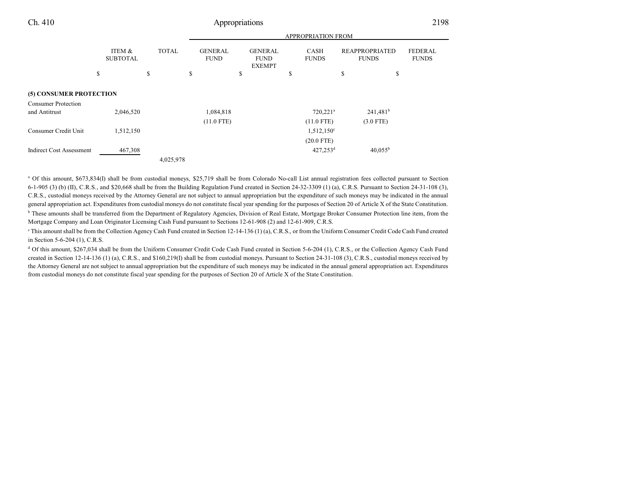## Ch. 410 Appropriations 2198

|                                 |                           |              | APPROPRIATION FROM            |    |                                                |    |                             |                                       |                                |
|---------------------------------|---------------------------|--------------|-------------------------------|----|------------------------------------------------|----|-----------------------------|---------------------------------------|--------------------------------|
|                                 | ITEM &<br><b>SUBTOTAL</b> | <b>TOTAL</b> | <b>GENERAL</b><br><b>FUND</b> |    | <b>GENERAL</b><br><b>FUND</b><br><b>EXEMPT</b> |    | <b>CASH</b><br><b>FUNDS</b> | <b>REAPPROPRIATED</b><br><b>FUNDS</b> | <b>FEDERAL</b><br><b>FUNDS</b> |
|                                 | \$                        | \$           | \$                            | \$ |                                                | \$ |                             | \$                                    | \$                             |
| (5) CONSUMER PROTECTION         |                           |              |                               |    |                                                |    |                             |                                       |                                |
| <b>Consumer Protection</b>      |                           |              |                               |    |                                                |    |                             |                                       |                                |
| and Antitrust                   | 2,046,520                 |              | 1,084,818                     |    |                                                |    | $720,221$ <sup>a</sup>      | $241,481^b$                           |                                |
|                                 |                           |              | $(11.0$ FTE)                  |    |                                                |    | $(11.0$ FTE)                | $(3.0$ FTE)                           |                                |
| Consumer Credit Unit            | 1,512,150                 |              |                               |    |                                                |    | $1,512,150^{\circ}$         |                                       |                                |
|                                 |                           |              |                               |    |                                                |    | $(20.0$ FTE)                |                                       |                                |
| <b>Indirect Cost Assessment</b> | 467,308                   |              |                               |    |                                                |    | $427,253$ <sup>d</sup>      | $40.055^{b}$                          |                                |
|                                 |                           | 4,025,978    |                               |    |                                                |    |                             |                                       |                                |

<sup>a</sup> Of this amount, \$673,834(I) shall be from custodial moneys, \$25,719 shall be from Colorado No-call List annual registration fees collected pursuant to Section  $6-1-905$  (3) (b) (II), C.R.S., and \$20,668 shall be from the Building Regulation Fund created in Section 24-32-3309 (1) (a), C.R.S. Pursuant to Section 24-31-108 (3), C.R.S., custodial moneys received by the Attorney General are not subject to annual appropriation but the expenditure of such moneys may be indicated in the annual general appropriation act. Expenditures from custodial moneys do not constitute fiscal year spending for the purposes of Section 20 of Article X of the State Constitution. <sup>b</sup> These amounts shall be transferred from the Department of Regulatory Agencies, Division of Real Estate, Mortgage Broker Consumer Protection line item, from the Mortgage Company and Loan Originator Licensing Cash Fund pursuant to Sections 12-61-908 (2) and 12-61-909, C.R.S.

<sup>c</sup> This amount shall be from the Collection Agency Cash Fund created in Section 12-14-136 (1) (a), C.R.S., or from the Uniform Consumer Credit Code Cash Fund created in Section 5-6-204 (1), C.R.S.

<sup>d</sup> Of this amount, \$267,034 shall be from the Uniform Consumer Credit Code Cash Fund created in Section 5-6-204 (1), C.R.S., or the Collection Agency Cash Fund created in Section 12-14-136 (1) (a), C.R.S., and \$160,219(I) shall be from custodial moneys. Pursuant to Section 24-31-108 (3), C.R.S., custodial moneys received by the Attorney General are not subject to annual appropriation but the expenditure of such moneys may be indicated in the annual general appropriation act. Expenditures from custodial moneys do not constitute fiscal year spending for the purposes of Section 20 of Article X of the State Constitution.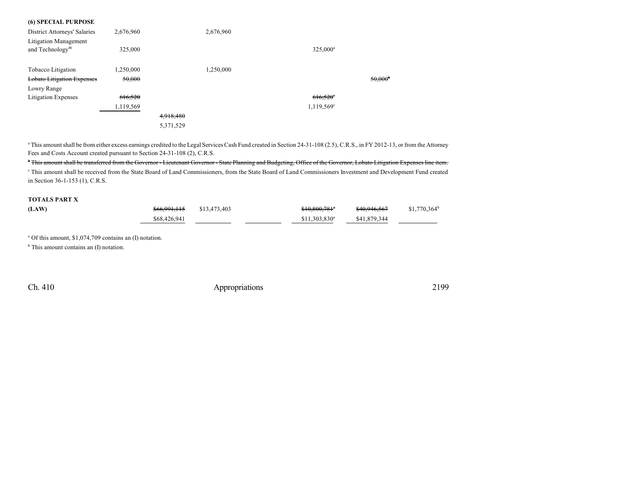| <b>(6) SPECIAL PURPOSE</b>          |           |           |           |                      |                       |
|-------------------------------------|-----------|-----------|-----------|----------------------|-----------------------|
| <b>District Attorneys' Salaries</b> | 2,676,960 |           | 2,676,960 |                      |                       |
| <b>Litigation Management</b>        |           |           |           |                      |                       |
| and Technology <sup>46</sup>        | 325,000   |           |           | 325.000 <sup>a</sup> |                       |
| Tobacco Litigation                  | 1,250,000 |           | 1,250,000 |                      |                       |
| <b>Lobato Litigation Expenses</b>   | 50,000    |           |           |                      | $50,000$ <sup>b</sup> |
| Lowry Range                         |           |           |           |                      |                       |
| <b>Litigation Expenses</b>          | 616,520   |           |           | $616,520$ °          |                       |
|                                     | 1,119,569 |           |           | 1,119,569°           |                       |
|                                     |           | 4,918,480 |           |                      |                       |
|                                     |           | 5,371,529 |           |                      |                       |

<sup>a</sup> This amount shall be from either excess earnings credited to the Legal Services Cash Fund created in Section 24-31-108 (2.5), C.R.S., in FY 2012-13, or from the Attorney Fees and Costs Account created pursuant to Section 24-31-108 (2), C.R.S.

<sup>b</sup> This amount shall be transferred from the Governor - Lieutenant Governor - State Planning and Budgeting, Office of the Governor, Lobato Litigation Expenses line item. c This amount shall be received from the State Board of Land Commissioners, from the State Board of Land Commissioners Investment and Development Fund created in Section 36-1-153 (1), C.R.S.

### **TOTALS PART X**

| (LAW) | <del>\$66,991,115</del> | \$13,473,403 | $$10,800,781$ <sup>*</sup> | <del>\$40.946.567</del> | $$1,770,364^b$ |
|-------|-------------------------|--------------|----------------------------|-------------------------|----------------|
|       | \$68,426,941            |              | $$11.303.830$ <sup>a</sup> | \$41,879,344            |                |

a Of this amount, \$1,074,709 contains an (I) notation.

b This amount contains an (I) notation.

Ch. 410 Appropriations 2199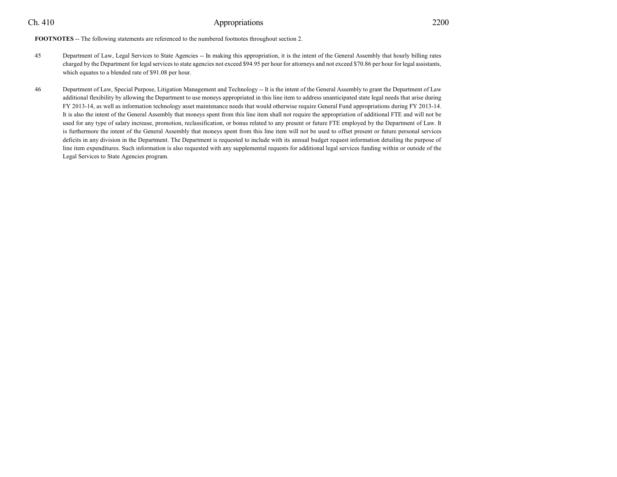### Ch. 410 Appropriations 2200

**FOOTNOTES** -- The following statements are referenced to the numbered footnotes throughout section 2.

- 45 Department of Law, Legal Services to State Agencies -- In making this appropriation, it is the intent of the General Assembly that hourly billing rates charged by the Department for legal services to state agencies not exceed \$94.95 per hour for attorneys and not exceed \$70.86 per hour for legal assistants, which equates to a blended rate of \$91.08 per hour.
- 46 Department of Law, Special Purpose, Litigation Management and Technology -- It is the intent of the General Assembly to grant the Department of Law additional flexibility by allowing the Department to use moneys appropriated in this line item to address unanticipated state legal needs that arise during FY 2013-14, as well as information technology asset maintenance needs that would otherwise require General Fund appropriations during FY 2013-14. It is also the intent of the General Assembly that moneys spent from this line item shall not require the appropriation of additional FTE and will not be used for any type of salary increase, promotion, reclassification, or bonus related to any present or future FTE employed by the Department of Law. It is furthermore the intent of the General Assembly that moneys spent from this line item will not be used to offset present or future personal services deficits in any division in the Department. The Department is requested to include with its annual budget request information detailing the purpose of line item expenditures. Such information is also requested with any supplemental requests for additional legal services funding within or outside of the Legal Services to State Agencies program.